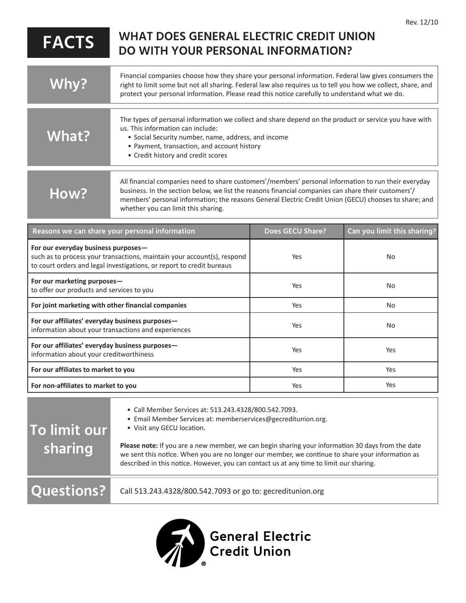|              | .                                                                                                                                                                                                                                                                                                                                                           |
|--------------|-------------------------------------------------------------------------------------------------------------------------------------------------------------------------------------------------------------------------------------------------------------------------------------------------------------------------------------------------------------|
| <b>FACTS</b> | <b>WHAT DOES GENERAL ELECTRIC CREDIT UNION</b><br>DO WITH YOUR PERSONAL INFORMATION?                                                                                                                                                                                                                                                                        |
| Why?         | Financial companies choose how they share your personal information. Federal law gives consumers the<br>right to limit some but not all sharing. Federal law also requires us to tell you how we collect, share, and<br>protect your personal information. Please read this notice carefully to understand what we do.                                      |
| What?        | The types of personal information we collect and share depend on the product or service you have with<br>us. This information can include:<br>• Social Security number, name, address, and income<br>• Payment, transaction, and account history                                                                                                            |
|              | • Credit history and credit scores                                                                                                                                                                                                                                                                                                                          |
| How?         | All financial companies need to share customers'/members' personal information to run their everyday<br>business. In the section below, we list the reasons financial companies can share their customers'/<br>members' personal information; the reasons General Electric Credit Union (GECU) chooses to share; and<br>whether you can limit this sharing. |

| Reasons we can share your personal information                                                                                                                                          | <b>Does GECU Share?</b> | Can you limit this sharing? |
|-----------------------------------------------------------------------------------------------------------------------------------------------------------------------------------------|-------------------------|-----------------------------|
| For our everyday business purposes-<br>such as to process your transactions, maintain your account(s), respond<br>to court orders and legal investigations, or report to credit bureaus | Yes                     | <b>No</b>                   |
| For our marketing purposes-<br>to offer our products and services to you                                                                                                                | Yes                     | No.                         |
| For joint marketing with other financial companies                                                                                                                                      | Yes                     | No                          |
| For our affiliates' everyday business purposes—<br>information about your transactions and experiences                                                                                  | Yes                     | No.                         |
| For our affiliates' everyday business purposes-<br>information about your creditworthiness                                                                                              | Yes                     | Yes                         |
| For our affiliates to market to you                                                                                                                                                     | Yes                     | Yes                         |
| For non-affiliates to market to you                                                                                                                                                     | Yes                     | Yes                         |

| To limit our<br>sharing | • Call Member Services at: 513.243.4328/800.542.7093.<br>• Email Member Services at: memberservices@gecreditunion.org.<br>• Visit any GECU location.                                                                                                                                             |
|-------------------------|--------------------------------------------------------------------------------------------------------------------------------------------------------------------------------------------------------------------------------------------------------------------------------------------------|
|                         | Please note: If you are a new member, we can begin sharing your information 30 days from the date<br>we sent this notice. When you are no longer our member, we continue to share your information as<br>described in this notice. However, you can contact us at any time to limit our sharing. |
| <b>Questions?</b>       | Call 513.243.4328/800.542.7093 or go to: gecreditunion.org                                                                                                                                                                                                                                       |